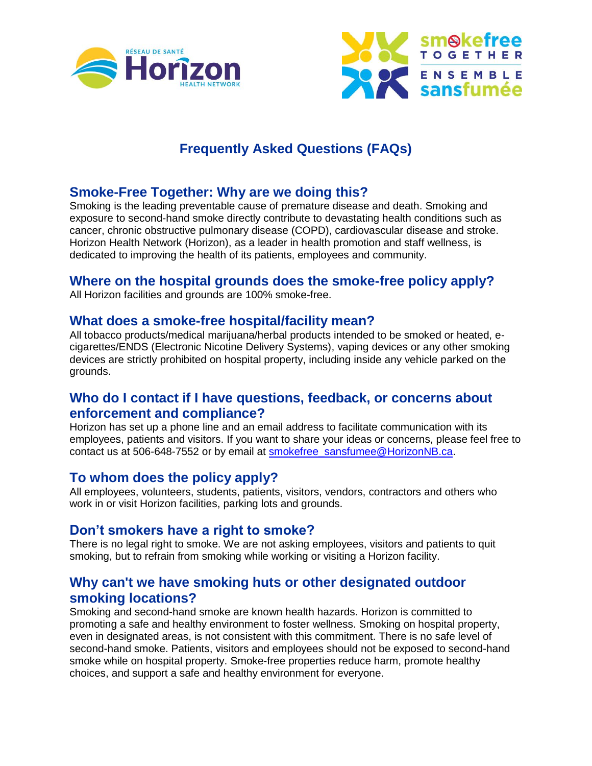



# **Frequently Asked Questions (FAQs)**

## **Smoke-Free Together: Why are we doing this?**

Smoking is the leading preventable cause of premature disease and death. Smoking and exposure to second-hand smoke directly contribute to devastating health conditions such as cancer, chronic obstructive pulmonary disease (COPD), cardiovascular disease and stroke. Horizon Health Network (Horizon), as a leader in health promotion and staff wellness, is dedicated to improving the health of its patients, employees and community.

## **Where on the hospital grounds does the smoke-free policy apply?**

All Horizon facilities and grounds are 100% smoke-free.

#### **What does a smoke-free hospital/facility mean?**

All tobacco products/medical marijuana/herbal products intended to be smoked or heated, ecigarettes/ENDS (Electronic Nicotine Delivery Systems), vaping devices or any other smoking devices are strictly prohibited on hospital property, including inside any vehicle parked on the grounds.

#### **Who do I contact if I have questions, feedback, or concerns about enforcement and compliance?**

Horizon has set up a phone line and an email address to facilitate communication with its employees, patients and visitors. If you want to share your ideas or concerns, please feel free to contact us at 506-648-7552 or by email at [smokefree\\_sansfumee@HorizonNB.ca.](mailto:smokefree_sansfumee@HorizonNB.ca)

## **To whom does the policy apply?**

All employees, volunteers, students, patients, visitors, vendors, contractors and others who work in or visit Horizon facilities, parking lots and grounds.

## **Don't smokers have a right to smoke?**

There is no legal right to smoke. We are not asking employees, visitors and patients to quit smoking, but to refrain from smoking while working or visiting a Horizon facility.

## **Why can't we have smoking huts or other designated outdoor smoking locations?**

Smoking and second-hand smoke are known health hazards. Horizon is committed to promoting a safe and healthy environment to foster wellness. Smoking on hospital property, even in designated areas, is not consistent with this commitment. There is no safe level of second-hand smoke. Patients, visitors and employees should not be exposed to second-hand smoke while on hospital property. Smoke-free properties reduce harm, promote healthy choices, and support a safe and healthy environment for everyone.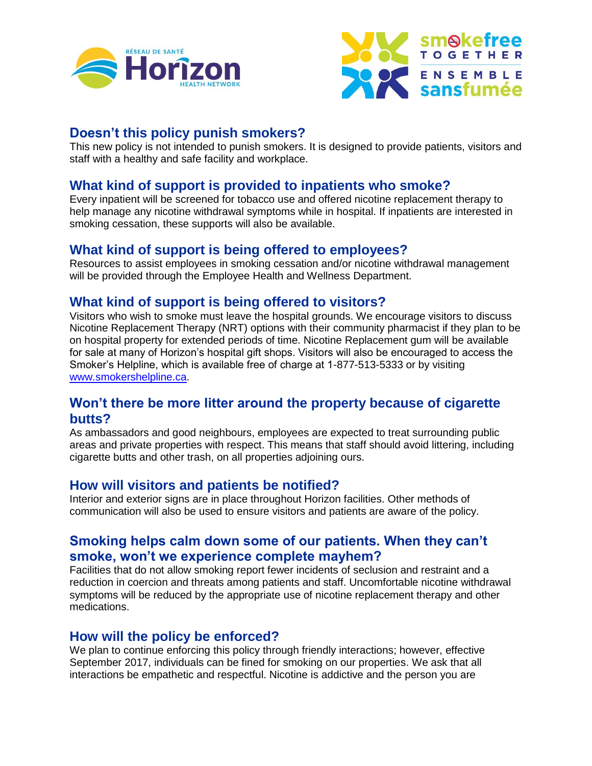



## **Doesn't this policy punish smokers?**

This new policy is not intended to punish smokers. It is designed to provide patients, visitors and staff with a healthy and safe facility and workplace.

## **What kind of support is provided to inpatients who smoke?**

Every inpatient will be screened for tobacco use and offered nicotine replacement therapy to help manage any nicotine withdrawal symptoms while in hospital. If inpatients are interested in smoking cessation, these supports will also be available.

## **What kind of support is being offered to employees?**

Resources to assist employees in smoking cessation and/or nicotine withdrawal management will be provided through the Employee Health and Wellness Department.

## **What kind of support is being offered to visitors?**

Visitors who wish to smoke must leave the hospital grounds. We encourage visitors to discuss Nicotine Replacement Therapy (NRT) options with their community pharmacist if they plan to be on hospital property for extended periods of time. Nicotine Replacement gum will be available for sale at many of Horizon's hospital gift shops. Visitors will also be encouraged to access the Smoker's Helpline, which is available free of charge at 1-877-513-5333 or by visiting [www.smokershelpline.ca.](http://www.smokershelpline.ca/)

## **Won't there be more litter around the property because of cigarette butts?**

As ambassadors and good neighbours, employees are expected to treat surrounding public areas and private properties with respect. This means that staff should avoid littering, including cigarette butts and other trash, on all properties adjoining ours.

## **How will visitors and patients be notified?**

Interior and exterior signs are in place throughout Horizon facilities. Other methods of communication will also be used to ensure visitors and patients are aware of the policy.

## **Smoking helps calm down some of our patients. When they can't smoke, won't we experience complete mayhem?**

Facilities that do not allow smoking report fewer incidents of seclusion and restraint and a reduction in coercion and threats among patients and staff. Uncomfortable nicotine withdrawal symptoms will be reduced by the appropriate use of nicotine replacement therapy and other medications.

## **How will the policy be enforced?**

We plan to continue enforcing this policy through friendly interactions; however, effective September 2017, individuals can be fined for smoking on our properties. We ask that all interactions be empathetic and respectful. Nicotine is addictive and the person you are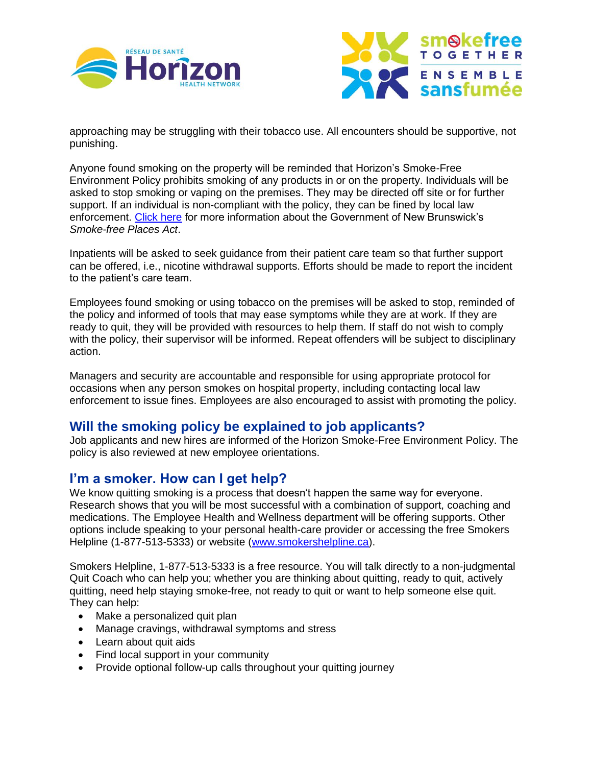



approaching may be struggling with their tobacco use. All encounters should be supportive, not punishing.

Anyone found smoking on the property will be reminded that Horizon's Smoke-Free Environment Policy prohibits smoking of any products in or on the property. Individuals will be asked to stop smoking or vaping on the premises. They may be directed off site or for further support. If an individual is non-compliant with the policy, they can be fined by local law enforcement. [Click here](http://www2.gnb.ca/content/gnb/en/departments/ocmoh/healthy_people/content/LivingTobaccoFree.html) for more information about the Government of New Brunswick's *Smoke-free Places Act*.

Inpatients will be asked to seek guidance from their patient care team so that further support can be offered, i.e., nicotine withdrawal supports. Efforts should be made to report the incident to the patient's care team.

Employees found smoking or using tobacco on the premises will be asked to stop, reminded of the policy and informed of tools that may ease symptoms while they are at work. If they are ready to quit, they will be provided with resources to help them. If staff do not wish to comply with the policy, their supervisor will be informed. Repeat offenders will be subject to disciplinary action.

Managers and security are accountable and responsible for using appropriate protocol for occasions when any person smokes on hospital property, including contacting local law enforcement to issue fines. Employees are also encouraged to assist with promoting the policy.

## **Will the smoking policy be explained to job applicants?**

Job applicants and new hires are informed of the Horizon Smoke-Free Environment Policy. The policy is also reviewed at new employee orientations.

## **I'm a smoker. How can I get help?**

We know quitting smoking is a process that doesn't happen the same way for everyone. Research shows that you will be most successful with a combination of support, coaching and medications. The Employee Health and Wellness department will be offering supports. Other options include speaking to your personal health-care provider or accessing the free Smokers Helpline (1-877-513-5333) or website [\(www.smokershelpline.ca\)](http://www.smokershelpline.ca/).

Smokers Helpline, 1-877-513-5333 is a free resource. You will talk directly to a non-judgmental Quit Coach who can help you; whether you are thinking about quitting, ready to quit, actively quitting, need help staying smoke-free, not ready to quit or want to help someone else quit. They can help:

- Make a personalized quit plan
- Manage cravings, withdrawal symptoms and stress
- Learn about quit aids
- Find local support in your community
- Provide optional follow-up calls throughout your quitting journey